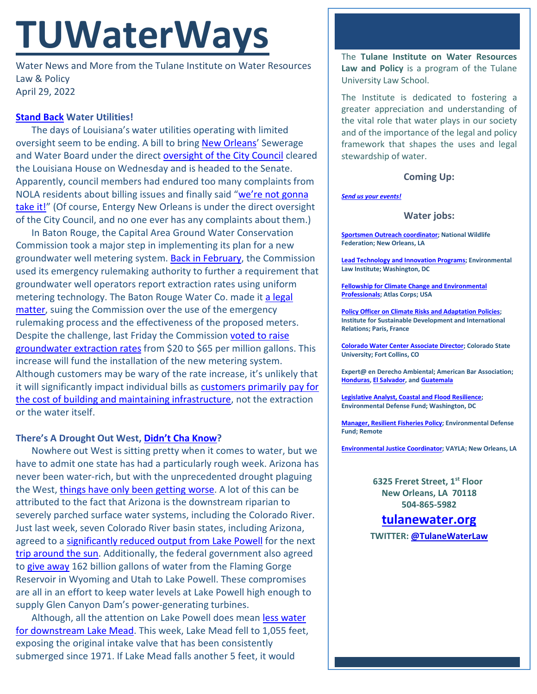# **TUWaterWays**

Water News and More from the Tulane Institute on Water Resources Law & Policy April 29, 2022

## **[Stand Back](https://www.youtube.com/watch?v=LLcPqpG4jps) Water Utilities!**

The days of Louisiana's water utilities operating with limited oversight seem to be ending. A bill to bring [New Orleans'](https://www.youtube.com/watch?v=6XyRdJr4LSc) Sewerage and Water Board under the direct [oversight of the City Council](https://www.theadvocate.com/baton_rouge/news/politics/legislature/article_640b2812-c674-11ec-921b-5f2562ff8744.html) cleared the Louisiana House on Wednesday and is headed to the Senate. Apparently, council members had endured too many complaints from NOLA residents about billing issues and finally said ["we're not gonna](https://www.youtube.com/watch?v=b58NmMybJEk)  [take it!"](https://www.youtube.com/watch?v=b58NmMybJEk) (Of course, Entergy New Orleans is under the direct oversight of the City Council, and no one ever has any complaints about them.)

In Baton Rouge, the Capital Area Ground Water Conservation Commission took a major step in implementing its plan for a new groundwater well metering system. [Back in February,](https://www.tulanewater.org/_files/ugd/32079b_265dfeea3d7c4f53b5d6881115f36a59.pdf) the Commission used its emergency rulemaking authority to further a requirement that groundwater well operators report extraction rates using uniform metering technology. The Baton Rouge Water Co. made it [a legal](https://www.youtube.com/watch?v=YBMEFxEhu_8)  [matter,](https://www.youtube.com/watch?v=YBMEFxEhu_8) suing the Commission over the use of the emergency rulemaking process and the effectiveness of the proposed meters. Despite the challenge, last Friday the Commission [voted to raise](https://www.businessreport.com/business/groundwater-regulators-water-company-at-odds-over-metering)  [groundwater extraction rates](https://www.businessreport.com/business/groundwater-regulators-water-company-at-odds-over-metering) from \$20 to \$65 per million gallons. This increase will fund the installation of the new metering system. Although customers may be wary of the rate increase, it's unlikely that it will significantly impact individual bills as customers [primarily pay for](https://www.epa.gov/watersense/understanding-your-water-bill)  [the cost of building and maintaining infrastructure,](https://www.epa.gov/watersense/understanding-your-water-bill) not the extraction or the water itself.

### **There's A Drought Out West, [Didn't Cha Know?](https://www.youtube.com/watch?v=Np21rH7Ldto)**

Nowhere out West is sitting pretty when it comes to water, but we have to admit one state has had a particularly rough week. Arizona has never been water-rich, but with the unprecedented drought plaguing the West, things [have only been getting worse.](https://www.wsj.com/articles/arizonas-dry-future-begins-as-colorado-river-shrinks-11650718801) A lot of this can be attributed to the fact that Arizona is the downstream riparian to severely parched surface water systems, including the Colorado River. Just last week, seven Colorado River basin states, including Arizona, agreed to a [significantly reduced output from Lake Powell](https://tucson.com/news/local/ailing-lake-powell-to-get-a-short-term-fix-but-warnings-continue/article_8b948ce8-c28c-11ec-9811-2bf9d2189c5a.html) for the next trip around the sun</u>. Additionally, the federal government also agreed to [give away](https://www.youtube.com/watch?v=XhjqmAoBKCQ) 162 billion gallons of water from the Flaming Gorge Reservoir in Wyoming and Utah to Lake Powell. These compromises are all in an effort to keep water levels at Lake Powell high enough to supply Glen Canyon Dam's power-generating turbines.

Although, all the attention on Lake Powell does mean [less water](https://www.cnn.com/2022/04/27/us/water-intake-exposed-lake-mead-drought-climate/index.html)  [for downstream Lake Mead.](https://www.cnn.com/2022/04/27/us/water-intake-exposed-lake-mead-drought-climate/index.html) This week, Lake Mead fell to 1,055 feet, exposing the original intake valve that has been consistently submerged since 1971. If Lake Mead falls another 5 feet, it would

The **Tulane Institute on Water Resources Law and Policy** is a program of the Tulane University Law School.

The Institute is dedicated to fostering a greater appreciation and understanding of the vital role that water plays in our society and of the importance of the legal and policy framework that shapes the uses and legal stewardship of water.

#### **Coming Up:**

#### *[Send us your events!](https://media.giphy.com/media/d6jQXbnRtvfyg/giphy.gif)*

#### **Water jobs:**

**[Sportsmen Outreach coordinator;](https://recruiting.ultipro.com/NAT1047NWF/JobBoard/1ca8346a-33cc-401d-90d9-d7f752fdfd7d/OpportunityDetail?opportunityId=6ab7c4a8-e58e-413c-9fee-065ae1e4aee2) National Wildlife Federation; New Orleans, LA**

**[Lead Technology and Innovation Programs;](https://workforcenow.adp.com/mascsr/default/mdf/recruitment/recruitment.html?cid=82bc5b12-ae17-4634-b907-3b62f1097668&ccId=19000101_000001&jobId=440384&source=CC2&lang=en_US) Environmental Law Institute; Washington, DC**

**[Fellowship for Climate Change and Environmental](https://atlascorps.org/atlas-corps-fellowship-for-climate-change-and-environmental-professionals/)  [Professionals;](https://atlascorps.org/atlas-corps-fellowship-for-climate-change-and-environmental-professionals/) Atlas Corps; USA**

**[Policy Officer on Climate Risks and Adaptation Policies;](https://www.iddri.org/en/about-iddri/carreers/policy-officer-climate-risks-and-adaptation-policies) Institute for Sustainable Development and International Relations; Paris, France**

**[Colorado Water Center Associate Director;](https://jobs.colostate.edu/postings/103021) Colorado State University; Fort Collins, CO**

**Expert@ en Derecho Ambiental; American Bar Association; [Honduras,](https://www.devex.com/jobs/experto-a-en-derecho-ambiental-honduras-environmental-law-expert-honduras-982971?q=https%3A%2F%2Fwww.devex.com%2Fjobs%2Fsearch%2F%3Ffilter%255Bkeywords%255D%255B%255D%3Denvironmental%26page%255Bnumber%255D%3D6%26sorting%255Bfield%255D%3Dupdated_at%26sorting%255Border%255D%3Ddesc) [El Salvador,](https://www.devex.com/jobs/experto-a-en-derecho-ambiental-el-salvador-environmental-law-expert-el-salvador-982959?q=https%3A%2F%2Fwww.devex.com%2Fjobs%2Fsearch%2F%3Ffilter%255Bkeywords%255D%255B%255D%3Denvironmental%26page%255Bnumber%255D%3D6%26sorting%255Bfield%255D%3Dupdated_at%26sorting%255Border%255D%3Ddesc) an[d Guatemala](https://www.devex.com/jobs/experto-a-en-derecho-ambiental-guatemala-environmental-law-expert-guatemala-982961?q=https%3A%2F%2Fwww.devex.com%2Fjobs%2Fsearch%2F%3Ffilter%255Bkeywords%255D%255B%255D%3Denvironmental%26page%255Bnumber%255D%3D6%26sorting%255Bfield%255D%3Dupdated_at%26sorting%255Border%255D%3Ddesc)**

**[Legislative Analyst, Coastal and Flood Resilience;](https://careers-edf.icims.com/jobs/3620/legislative-analyst%2c-coastal-and-flood-resilience/job?mobile=false&width=960&height=500&bga=true&needsRedirect=false&jan1offset=-360&jun1offset=-300) Environmental Defense Fund; Washington, DC**

**[Manager, Resilient Fisheries Policy;](https://www.edf.org/jobs/manager-resilient-fisheries-policy) Environmental Defense Fund; Remote**

**[Environmental Justice Coordinator;](https://www.linkedin.com/jobs/view/2948631005/) VAYLA; New Orleans, LA**

**6325 Freret Street, 1st Floor New Orleans, LA 70118 504-865-5982**

**tulanewater.org**

**TWITTER: [@TulaneWaterLaw](http://www.twitter.com/TulaneWaterLaw)**